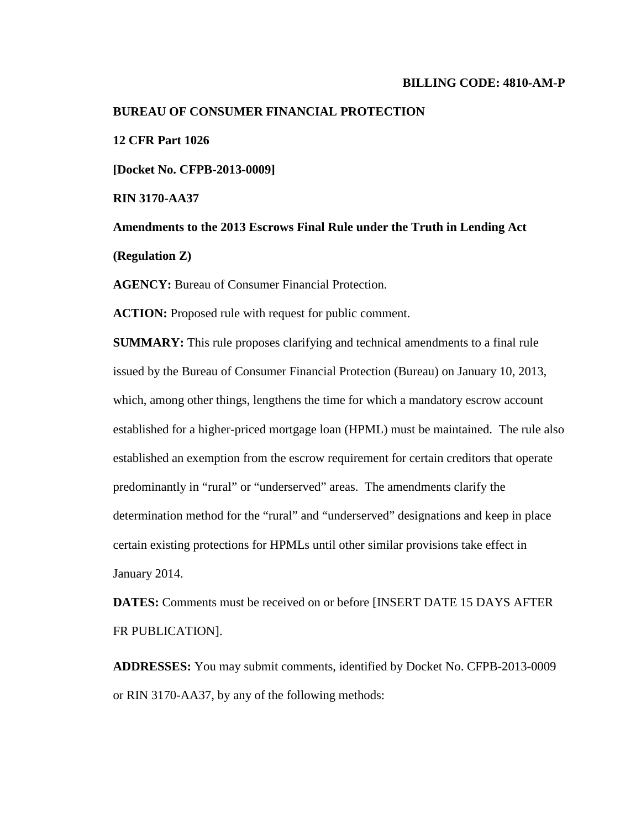#### **BUREAU OF CONSUMER FINANCIAL PROTECTION**

**12 CFR Part 1026**

**[Docket No. CFPB-2013-0009]**

**RIN 3170-AA37**

**Amendments to the 2013 Escrows Final Rule under the Truth in Lending Act (Regulation Z)**

**AGENCY:** Bureau of Consumer Financial Protection.

**ACTION:** Proposed rule with request for public comment.

**SUMMARY:** This rule proposes clarifying and technical amendments to a final rule issued by the Bureau of Consumer Financial Protection (Bureau) on January 10, 2013, which, among other things, lengthens the time for which a mandatory escrow account established for a higher-priced mortgage loan (HPML) must be maintained. The rule also established an exemption from the escrow requirement for certain creditors that operate predominantly in "rural" or "underserved" areas. The amendments clarify the determination method for the "rural" and "underserved" designations and keep in place certain existing protections for HPMLs until other similar provisions take effect in January 2014.

<span id="page-0-0"></span>**DATES:** Comments must be received on or before [INSERT DATE 15 DAYS AFTER FR PUBLICATION].

**ADDRESSES:** You may submit comments, identified by Docket No. CFPB-2013-0009 or RIN 3170-AA37, by any of the following methods: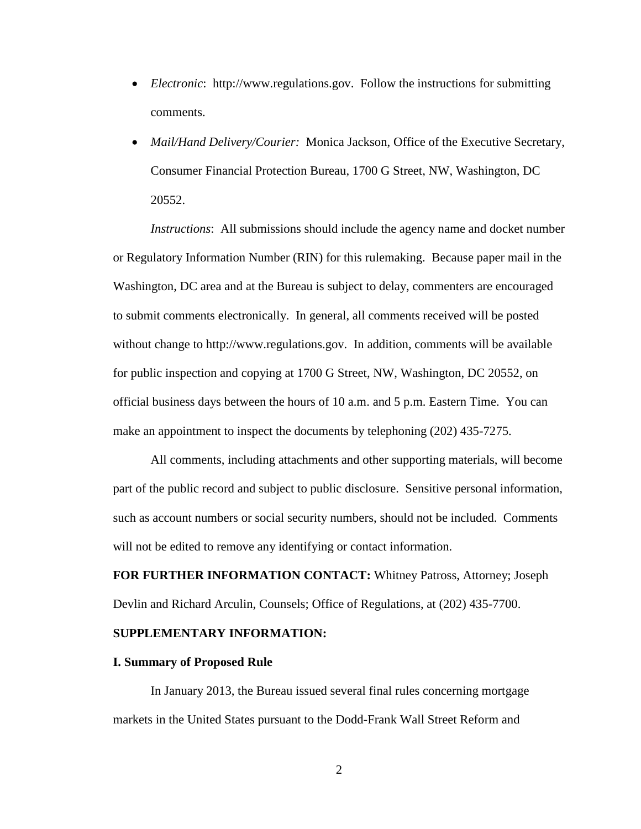- *Electronic*: http://www.regulations.gov. Follow the instructions for submitting comments.
- *Mail/Hand Delivery/Courier:* Monica Jackson, Office of the Executive Secretary, Consumer Financial Protection Bureau, 1700 G Street, NW, Washington, DC 20552.

*Instructions*: All submissions should include the agency name and docket number or Regulatory Information Number (RIN) for this rulemaking. Because paper mail in the Washington, DC area and at the Bureau is subject to delay, commenters are encouraged to submit comments electronically. In general, all comments received will be posted without change to http://www.regulations.gov. In addition, comments will be available for public inspection and copying at 1700 G Street, NW, Washington, DC 20552, on official business days between the hours of 10 a.m. and 5 p.m. Eastern Time. You can make an appointment to inspect the documents by telephoning (202) 435-7275.

All comments, including attachments and other supporting materials, will become part of the public record and subject to public disclosure. Sensitive personal information, such as account numbers or social security numbers, should not be included. Comments will not be edited to remove any identifying or contact information.

**FOR FURTHER INFORMATION CONTACT:** Whitney Patross, Attorney; Joseph Devlin and Richard Arculin, Counsels; Office of Regulations, at (202) 435-7700.

### **SUPPLEMENTARY INFORMATION:**

## **I. Summary of Proposed Rule**

In January 2013, the Bureau issued several final rules concerning mortgage markets in the United States pursuant to the Dodd-Frank Wall Street Reform and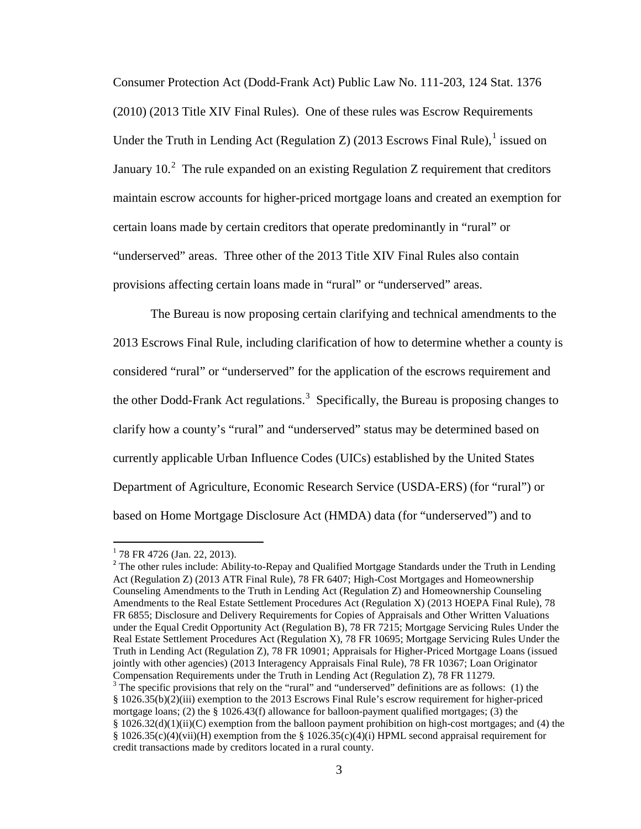Consumer Protection Act (Dodd-Frank Act) Public Law No. 111-203, 124 Stat. 1376 (2010) (2013 Title XIV Final Rules). One of these rules was Escrow Requirements Under the Truth in Lending Act (Regulation Z) (20[1](#page-0-0)3 Escrows Final Rule),  $^1$  issued on January 10.<sup>[2](#page-2-0)</sup> The rule expanded on an existing Regulation Z requirement that creditors maintain escrow accounts for higher-priced mortgage loans and created an exemption for certain loans made by certain creditors that operate predominantly in "rural" or "underserved" areas. Three other of the 2013 Title XIV Final Rules also contain provisions affecting certain loans made in "rural" or "underserved" areas.

The Bureau is now proposing certain clarifying and technical amendments to the 2013 Escrows Final Rule, including clarification of how to determine whether a county is considered "rural" or "underserved" for the application of the escrows requirement and the other Dodd-Frank Act regulations.<sup>[3](#page-2-1)</sup> Specifically, the Bureau is proposing changes to clarify how a county's "rural" and "underserved" status may be determined based on currently applicable Urban Influence Codes (UICs) established by the United States Department of Agriculture, Economic Research Service (USDA-ERS) (for "rural") or based on Home Mortgage Disclosure Act (HMDA) data (for "underserved") and to

<span id="page-2-0"></span><sup>&</sup>lt;sup>1</sup> 78 FR 4726 (Jan. 22, 2013).<br><sup>2</sup> The other rules include: Ability-to-Repay and Qualified Mortgage Standards under the Truth in Lending Act (Regulation Z) (2013 ATR Final Rule), 78 FR 6407; High-Cost Mortgages and Homeownership Counseling Amendments to the Truth in Lending Act (Regulation Z) and Homeownership Counseling Amendments to the Real Estate Settlement Procedures Act (Regulation X) (2013 HOEPA Final Rule), 78 FR 6855; Disclosure and Delivery Requirements for Copies of Appraisals and Other Written Valuations under the Equal Credit Opportunity Act (Regulation B), 78 FR 7215; Mortgage Servicing Rules Under the Real Estate Settlement Procedures Act (Regulation X), 78 FR 10695; Mortgage Servicing Rules Under the Truth in Lending Act (Regulation Z), 78 FR 10901; Appraisals for Higher-Priced Mortgage Loans (issued jointly with other agencies) (2013 Interagency Appraisals Final Rule), 78 FR 10367; Loan Originator Compensation Requirements under the Truth in Lending Act (Regulation Z), 78 FR 11279.

<span id="page-2-1"></span><sup>&</sup>lt;sup>3</sup> The specific provisions that rely on the "rural" and "underserved" definitions are as follows: (1) the § 1026.35(b)(2)(iii) exemption to the 2013 Escrows Final Rule's escrow requirement for higher-priced mortgage loans; (2) the  $\S$  1026.43(f) allowance for balloon-payment qualified mortgages; (3) the § 1026.32(d)(1)(ii)(C) exemption from the balloon payment prohibition on high-cost mortgages; and (4) the § 1026.35(c)(4)(vii)(H) exemption from the § 1026.35(c)(4)(i) HPML second appraisal requirement for credit transactions made by creditors located in a rural county.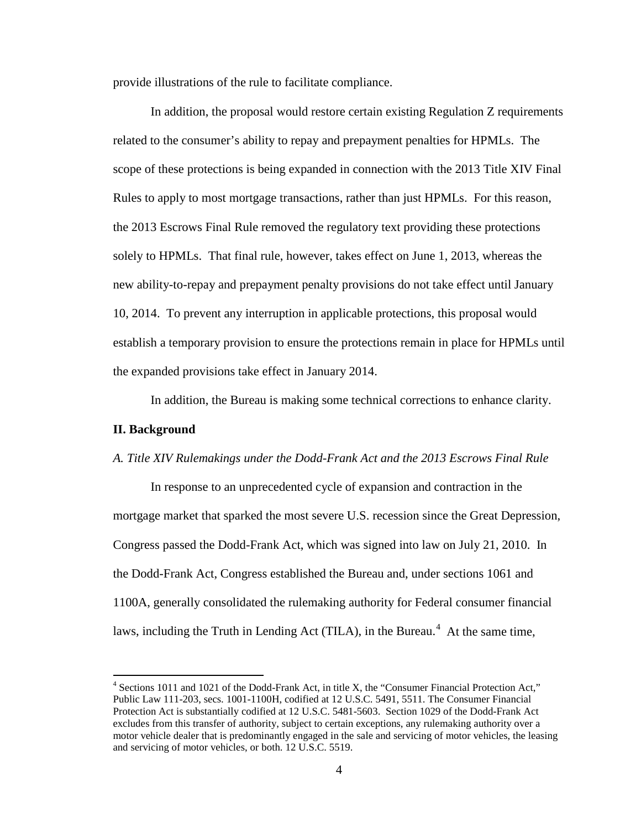provide illustrations of the rule to facilitate compliance.

In addition, the proposal would restore certain existing Regulation Z requirements related to the consumer's ability to repay and prepayment penalties for HPMLs. The scope of these protections is being expanded in connection with the 2013 Title XIV Final Rules to apply to most mortgage transactions, rather than just HPMLs. For this reason, the 2013 Escrows Final Rule removed the regulatory text providing these protections solely to HPMLs. That final rule, however, takes effect on June 1, 2013, whereas the new ability-to-repay and prepayment penalty provisions do not take effect until January 10, 2014. To prevent any interruption in applicable protections, this proposal would establish a temporary provision to ensure the protections remain in place for HPMLs until the expanded provisions take effect in January 2014.

In addition, the Bureau is making some technical corrections to enhance clarity.

#### **II. Background**

#### *A. Title XIV Rulemakings under the Dodd-Frank Act and the 2013 Escrows Final Rule*

In response to an unprecedented cycle of expansion and contraction in the mortgage market that sparked the most severe U.S. recession since the Great Depression, Congress passed the Dodd-Frank Act, which was signed into law on July 21, 2010. In the Dodd-Frank Act, Congress established the Bureau and, under sections 1061 and 1100A, generally consolidated the rulemaking authority for Federal consumer financial laws, including the Truth in Lending Act (TILA), in the Bureau.<sup>[4](#page-2-1)</sup> At the same time,

<span id="page-3-0"></span> <sup>4</sup> Sections 1011 and 1021 of the Dodd-Frank Act, in title X, the "Consumer Financial Protection Act," Public Law 111-203, secs. 1001-1100H, codified at 12 U.S.C. 5491, 5511. The Consumer Financial Protection Act is substantially codified at 12 U.S.C. 5481-5603. Section 1029 of the Dodd-Frank Act excludes from this transfer of authority, subject to certain exceptions, any rulemaking authority over a motor vehicle dealer that is predominantly engaged in the sale and servicing of motor vehicles, the leasing and servicing of motor vehicles, or both. 12 U.S.C. 5519.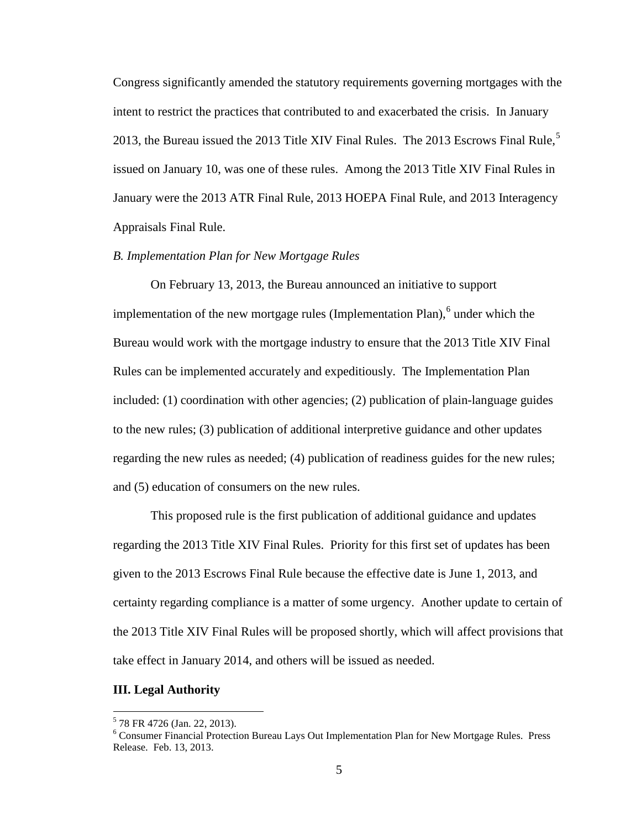Congress significantly amended the statutory requirements governing mortgages with the intent to restrict the practices that contributed to and exacerbated the crisis. In January 2013, the Bureau issued the 2013 Title XIV Final Rules. The 2013 Escrows Final Rule.<sup>[5](#page-3-0)</sup> issued on January 10, was one of these rules. Among the 2013 Title XIV Final Rules in January were the 2013 ATR Final Rule, 2013 HOEPA Final Rule, and 2013 Interagency Appraisals Final Rule.

## *B. Implementation Plan for New Mortgage Rules*

On February 13, 2013, the Bureau announced an initiative to support implementation of the new mortgage rules (Implementation Plan), [6](#page-4-0) under which the Bureau would work with the mortgage industry to ensure that the 2013 Title XIV Final Rules can be implemented accurately and expeditiously. The Implementation Plan included: (1) coordination with other agencies; (2) publication of plain-language guides to the new rules; (3) publication of additional interpretive guidance and other updates regarding the new rules as needed; (4) publication of readiness guides for the new rules; and (5) education of consumers on the new rules.

This proposed rule is the first publication of additional guidance and updates regarding the 2013 Title XIV Final Rules. Priority for this first set of updates has been given to the 2013 Escrows Final Rule because the effective date is June 1, 2013, and certainty regarding compliance is a matter of some urgency. Another update to certain of the 2013 Title XIV Final Rules will be proposed shortly, which will affect provisions that take effect in January 2014, and others will be issued as needed.

## <span id="page-4-1"></span>**III. Legal Authority**

<span id="page-4-0"></span>

 $5$  78 FR 4726 (Jan. 22, 2013).<br> $6$  Consumer Financial Protection Bureau Lays Out Implementation Plan for New Mortgage Rules. Press Release. Feb. 13, 2013.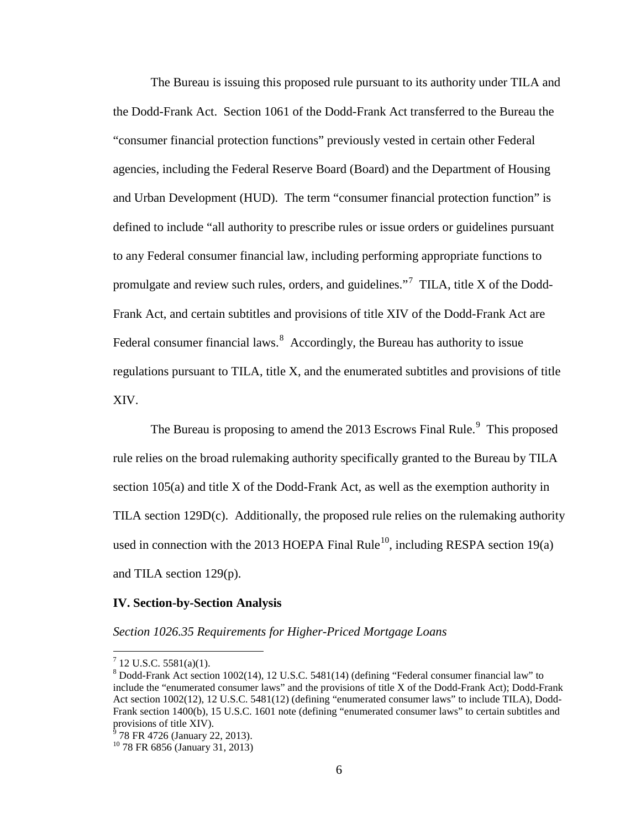The Bureau is issuing this proposed rule pursuant to its authority under TILA and the Dodd-Frank Act. Section 1061 of the Dodd-Frank Act transferred to the Bureau the "consumer financial protection functions" previously vested in certain other Federal agencies, including the Federal Reserve Board (Board) and the Department of Housing and Urban Development (HUD). The term "consumer financial protection function" is defined to include "all authority to prescribe rules or issue orders or guidelines pursuant to any Federal consumer financial law, including performing appropriate functions to promulgate and review such rules, orders, and guidelines."<sup>[7](#page-4-1)</sup> TILA, title X of the Dodd-Frank Act, and certain subtitles and provisions of title XIV of the Dodd-Frank Act are Federal consumer financial laws. $8$  Accordingly, the Bureau has authority to issue regulations pursuant to TILA, title X, and the enumerated subtitles and provisions of title XIV.

The Bureau is proposing to amend the 2013 Escrows Final Rule.<sup>[9](#page-5-1)</sup> This proposed rule relies on the broad rulemaking authority specifically granted to the Bureau by TILA section 105(a) and title X of the Dodd-Frank Act, as well as the exemption authority in TILA section 129D(c). Additionally, the proposed rule relies on the rulemaking authority used in connection with the 2013 HOEPA Final Rule<sup>10</sup>, including RESPA section 19(a) and TILA section 129(p).

#### **IV. Section-by-Section Analysis**

## *Section 1026.35 Requirements for Higher-Priced Mortgage Loans*

 $^7$  12 U.S.C. 5581(a)(1).

<span id="page-5-0"></span><sup>8</sup> Dodd-Frank Act section 1002(14), 12 U.S.C. 5481(14) (defining "Federal consumer financial law" to include the "enumerated consumer laws" and the provisions of title X of the Dodd-Frank Act); Dodd-Frank Act section 1002(12), 12 U.S.C. 5481(12) (defining "enumerated consumer laws" to include TILA), Dodd-Frank section 1400(b), 15 U.S.C. 1601 note (defining "enumerated consumer laws" to certain subtitles and provisions of title XIV).

<span id="page-5-1"></span> $p^9$  78 FR 4726 (January 22, 2013). <sup>10</sup> 78 FR 6856 (January 31, 2013).

<span id="page-5-2"></span>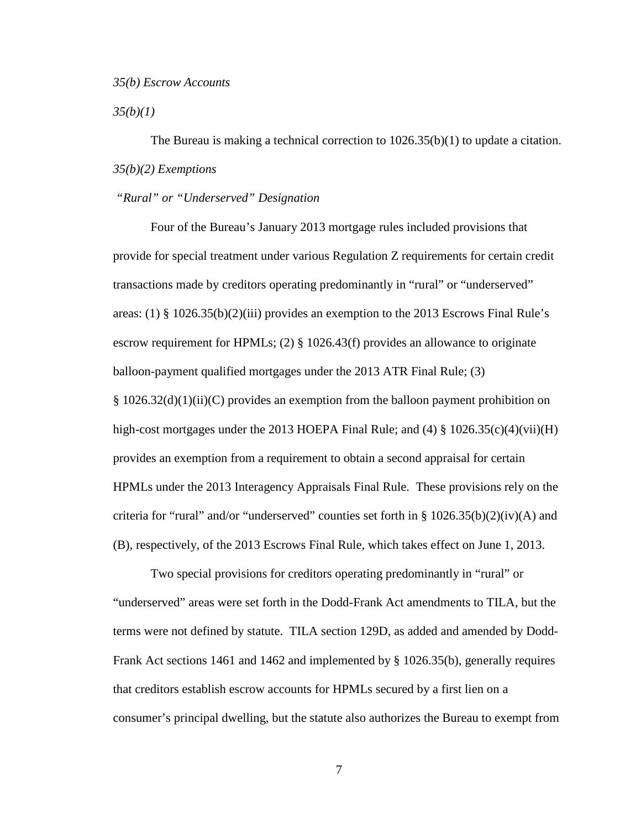#### *35(b) Escrow Accounts*

*35(b)(1)*

The Bureau is making a technical correction to  $1026.35(b)(1)$  to update a citation. *35(b)(2) Exemptions*

## *"Rural" or "Underserved" Designation*

Four of the Bureau's January 2013 mortgage rules included provisions that provide for special treatment under various Regulation Z requirements for certain credit transactions made by creditors operating predominantly in "rural" or "underserved" areas:  $(1)$  § 1026.35(b)(2)(iii) provides an exemption to the 2013 Escrows Final Rule's escrow requirement for HPMLs; (2) § 1026.43(f) provides an allowance to originate balloon-payment qualified mortgages under the 2013 ATR Final Rule; (3)  $§ 1026.32(d)(1)(ii)(C)$  provides an exemption from the balloon payment prohibition on high-cost mortgages under the 2013 HOEPA Final Rule; and (4) § 1026.35(c)(4)(vii)(H) provides an exemption from a requirement to obtain a second appraisal for certain HPMLs under the 2013 Interagency Appraisals Final Rule. These provisions rely on the criteria for "rural" and/or "underserved" counties set forth in  $\S 1026.35(b)(2)(iv)(A)$  and (B), respectively, of the 2013 Escrows Final Rule, which takes effect on June 1, 2013.

Two special provisions for creditors operating predominantly in "rural" or "underserved" areas were set forth in the Dodd-Frank Act amendments to TILA, but the terms were not defined by statute. TILA section 129D, as added and amended by Dodd-Frank Act sections 1461 and 1462 and implemented by § 1026.35(b), generally requires that creditors establish escrow accounts for HPMLs secured by a first lien on a consumer's principal dwelling, but the statute also authorizes the Bureau to exempt from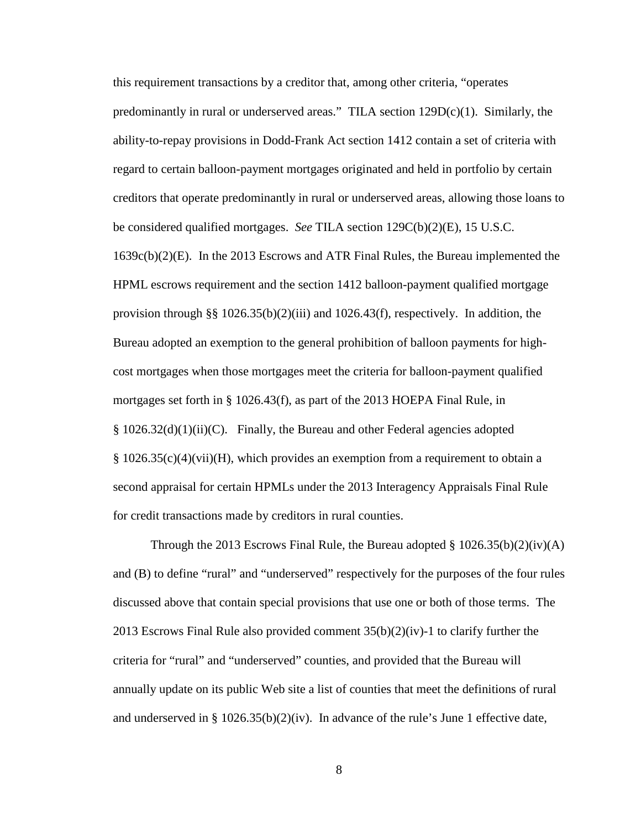this requirement transactions by a creditor that, among other criteria, "operates predominantly in rural or underserved areas." TILA section  $129D(c)(1)$ . Similarly, the ability-to-repay provisions in Dodd-Frank Act section 1412 contain a set of criteria with regard to certain balloon-payment mortgages originated and held in portfolio by certain creditors that operate predominantly in rural or underserved areas, allowing those loans to be considered qualified mortgages. *See* TILA section 129C(b)(2)(E), 15 U.S.C. 1639c(b)(2)(E). In the 2013 Escrows and ATR Final Rules, the Bureau implemented the HPML escrows requirement and the section 1412 balloon-payment qualified mortgage provision through §§  $1026.35(b)(2)(iii)$  and  $1026.43(f)$ , respectively. In addition, the Bureau adopted an exemption to the general prohibition of balloon payments for highcost mortgages when those mortgages meet the criteria for balloon-payment qualified mortgages set forth in § 1026.43(f), as part of the 2013 HOEPA Final Rule, in § 1026.32(d)(1)(ii)(C). Finally, the Bureau and other Federal agencies adopted § 1026.35(c)(4)(vii)(H), which provides an exemption from a requirement to obtain a second appraisal for certain HPMLs under the 2013 Interagency Appraisals Final Rule for credit transactions made by creditors in rural counties.

Through the 2013 Escrows Final Rule, the Bureau adopted §  $1026.35(b)(2)(iv)(A)$ and (B) to define "rural" and "underserved" respectively for the purposes of the four rules discussed above that contain special provisions that use one or both of those terms. The 2013 Escrows Final Rule also provided comment 35(b)(2)(iv)-1 to clarify further the criteria for "rural" and "underserved" counties, and provided that the Bureau will annually update on its public Web site a list of counties that meet the definitions of rural and underserved in §  $1026.35(b)(2)(iv)$ . In advance of the rule's June 1 effective date,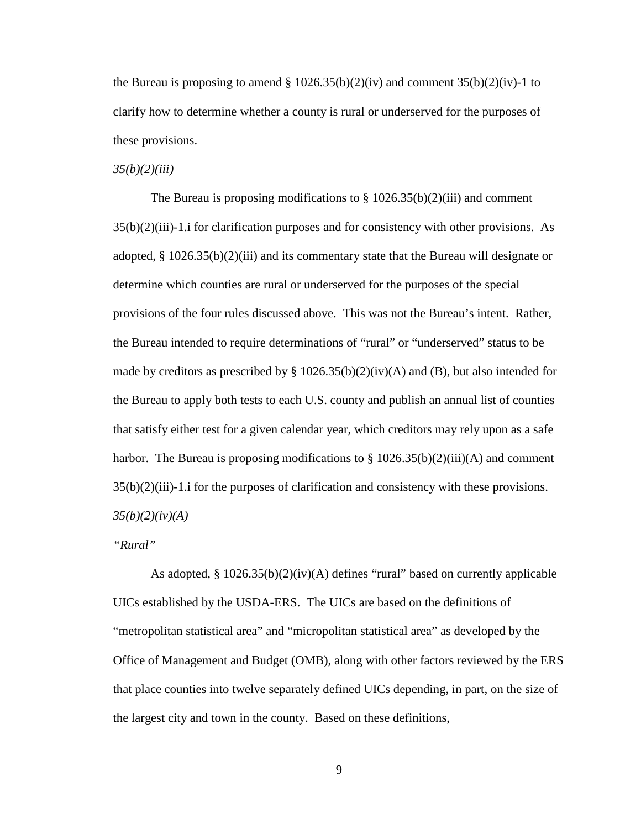the Bureau is proposing to amend  $\S 1026.35(b)(2)(iv)$  and comment  $35(b)(2)(iv)$ -1 to clarify how to determine whether a county is rural or underserved for the purposes of these provisions.

## *35(b)(2)(iii)*

The Bureau is proposing modifications to  $\S 1026.35(b)(2)(iii)$  and comment  $35(b)(2)(iii)$ -1.i for clarification purposes and for consistency with other provisions. As adopted,  $\S 1026.35(b)(2)(iii)$  and its commentary state that the Bureau will designate or determine which counties are rural or underserved for the purposes of the special provisions of the four rules discussed above. This was not the Bureau's intent. Rather, the Bureau intended to require determinations of "rural" or "underserved" status to be made by creditors as prescribed by  $\S 1026.35(b)(2)(iv)(A)$  and (B), but also intended for the Bureau to apply both tests to each U.S. county and publish an annual list of counties that satisfy either test for a given calendar year, which creditors may rely upon as a safe harbor. The Bureau is proposing modifications to  $\S 1026.35(b)(2)(iii)(A)$  and comment 35(b)(2)(iii)-1.i for the purposes of clarification and consistency with these provisions. *35(b)(2)(iv)(A)*

#### *"Rural"*

As adopted,  $\S 1026.35(b)(2)(iv)(A)$  defines "rural" based on currently applicable UICs established by the USDA-ERS. The UICs are based on the definitions of "metropolitan statistical area" and "micropolitan statistical area" as developed by the Office of Management and Budget (OMB), along with other factors reviewed by the ERS that place counties into twelve separately defined UICs depending, in part, on the size of the largest city and town in the county. Based on these definitions,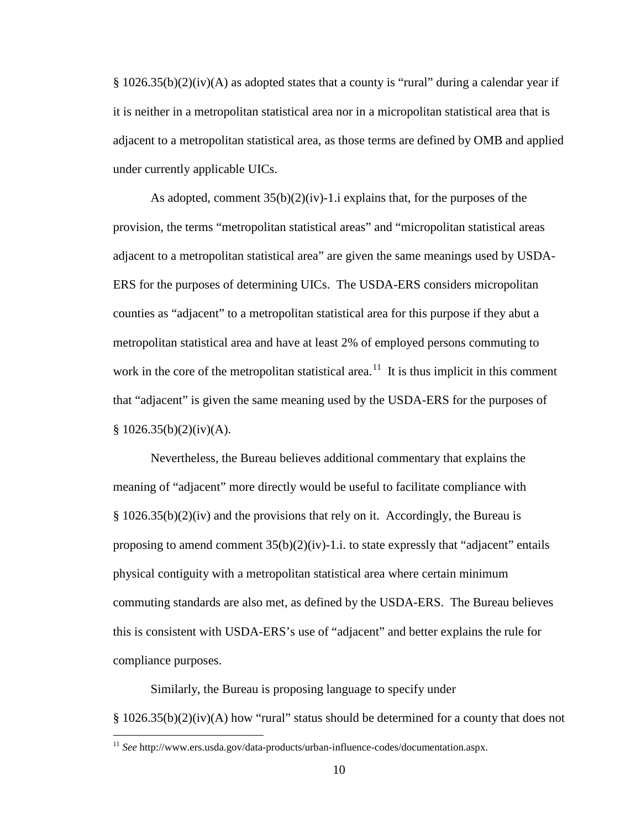§ 1026.35(b)(2)(iv)(A) as adopted states that a county is "rural" during a calendar year if it is neither in a metropolitan statistical area nor in a micropolitan statistical area that is adjacent to a metropolitan statistical area, as those terms are defined by OMB and applied under currently applicable UICs.

As adopted, comment  $35(b)(2)(iv)$ -1.i explains that, for the purposes of the provision, the terms "metropolitan statistical areas" and "micropolitan statistical areas adjacent to a metropolitan statistical area" are given the same meanings used by USDA-ERS for the purposes of determining UICs. The USDA-ERS considers micropolitan counties as "adjacent" to a metropolitan statistical area for this purpose if they abut a metropolitan statistical area and have at least 2% of employed persons commuting to work in the core of the metropolitan statistical area.<sup>[11](#page-5-2)</sup> It is thus implicit in this comment that "adjacent" is given the same meaning used by the USDA-ERS for the purposes of  $$1026.35(b)(2)(iv)(A).$ 

Nevertheless, the Bureau believes additional commentary that explains the meaning of "adjacent" more directly would be useful to facilitate compliance with  $§$  1026.35(b)(2)(iv) and the provisions that rely on it. Accordingly, the Bureau is proposing to amend comment  $35(b)(2)(iv)-1$ .i. to state expressly that "adjacent" entails physical contiguity with a metropolitan statistical area where certain minimum commuting standards are also met, as defined by the USDA-ERS. The Bureau believes this is consistent with USDA-ERS's use of "adjacent" and better explains the rule for compliance purposes.

Similarly, the Bureau is proposing language to specify under § 1026.35(b)(2)(iv)(A) how "rural" status should be determined for a county that does not

<span id="page-9-0"></span><sup>&</sup>lt;sup>11</sup> See http://www.ers.usda.gov/data-products/urban-influence-codes/documentation.aspx.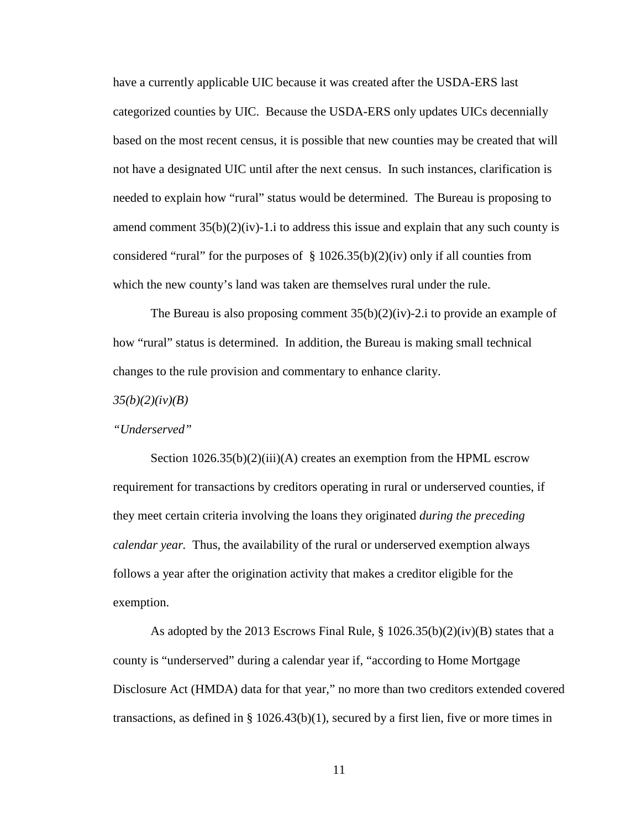have a currently applicable UIC because it was created after the USDA-ERS last categorized counties by UIC. Because the USDA-ERS only updates UICs decennially based on the most recent census, it is possible that new counties may be created that will not have a designated UIC until after the next census. In such instances, clarification is needed to explain how "rural" status would be determined. The Bureau is proposing to amend comment  $35(b)(2)(iv)-1$ . i to address this issue and explain that any such county is considered "rural" for the purposes of  $\S 1026.35(b)(2)(iv)$  only if all counties from which the new county's land was taken are themselves rural under the rule.

The Bureau is also proposing comment  $35(b)(2)(iv)$ -2.i to provide an example of how "rural" status is determined. In addition, the Bureau is making small technical changes to the rule provision and commentary to enhance clarity.

#### *35(b)(2)(iv)(B)*

## *"Underserved"*

Section  $1026.35(b)(2)(iii)(A)$  creates an exemption from the HPML escrow requirement for transactions by creditors operating in rural or underserved counties, if they meet certain criteria involving the loans they originated *during the preceding calendar year.* Thus, the availability of the rural or underserved exemption always follows a year after the origination activity that makes a creditor eligible for the exemption.

As adopted by the 2013 Escrows Final Rule, § 1026.35(b)(2)(iv)(B) states that a county is "underserved" during a calendar year if, "according to Home Mortgage Disclosure Act (HMDA) data for that year," no more than two creditors extended covered transactions, as defined in § 1026.43(b)(1), secured by a first lien, five or more times in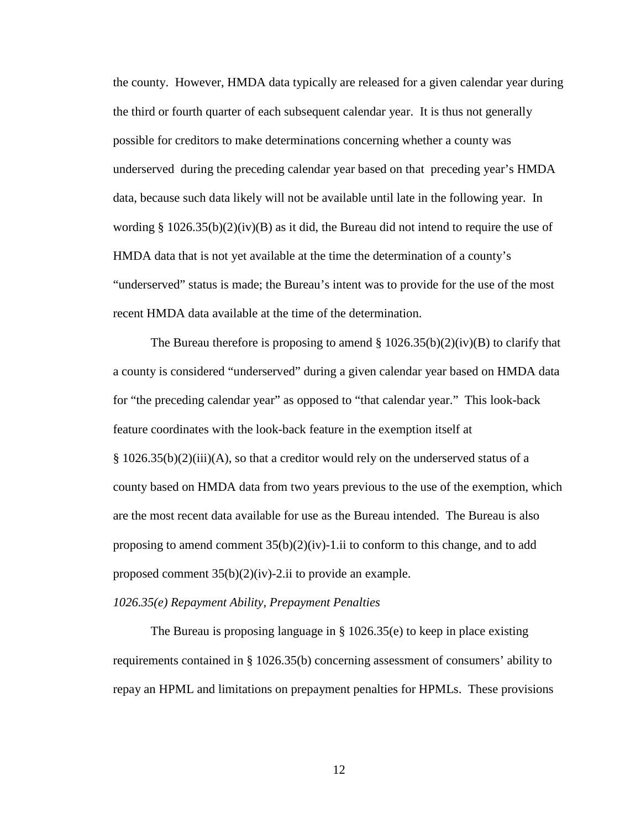the county. However, HMDA data typically are released for a given calendar year during the third or fourth quarter of each subsequent calendar year. It is thus not generally possible for creditors to make determinations concerning whether a county was underserved during the preceding calendar year based on that preceding year's HMDA data, because such data likely will not be available until late in the following year. In wording §  $1026.35(b)(2)(iv)(B)$  as it did, the Bureau did not intend to require the use of HMDA data that is not yet available at the time the determination of a county's "underserved" status is made; the Bureau's intent was to provide for the use of the most recent HMDA data available at the time of the determination.

The Bureau therefore is proposing to amend  $\S 1026.35(b)(2)(iv)(B)$  to clarify that a county is considered "underserved" during a given calendar year based on HMDA data for "the preceding calendar year" as opposed to "that calendar year." This look-back feature coordinates with the look-back feature in the exemption itself at  $\S 1026.35(b)(2)(iii)(A)$ , so that a creditor would rely on the underserved status of a county based on HMDA data from two years previous to the use of the exemption, which are the most recent data available for use as the Bureau intended. The Bureau is also proposing to amend comment  $35(b)(2)(iv)$ -1.ii to conform to this change, and to add proposed comment 35(b)(2)(iv)-2.ii to provide an example.

#### *1026.35(e) Repayment Ability, Prepayment Penalties*

The Bureau is proposing language in § 1026.35(e) to keep in place existing requirements contained in § 1026.35(b) concerning assessment of consumers' ability to repay an HPML and limitations on prepayment penalties for HPMLs. These provisions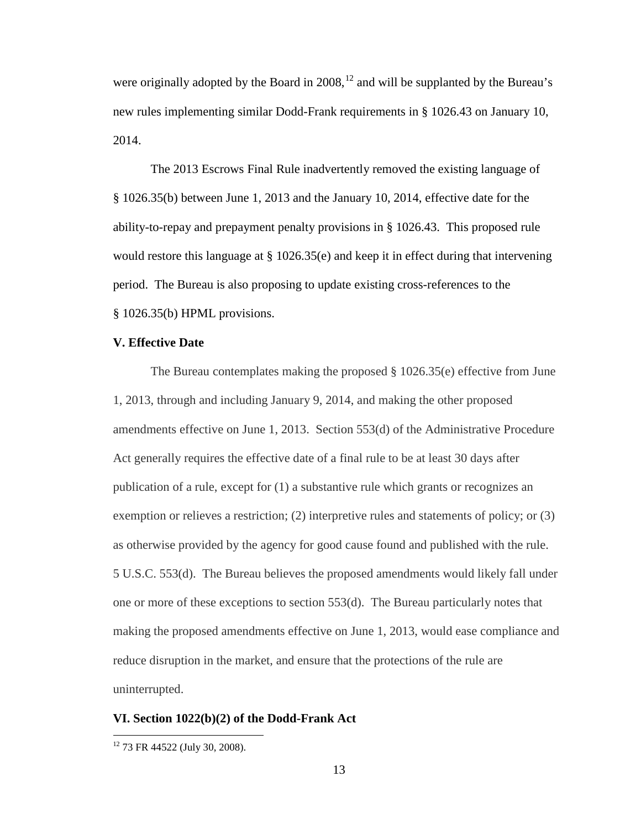were originally adopted by the Board in  $2008$ ,  $^{12}$  $^{12}$  $^{12}$  and will be supplanted by the Bureau's new rules implementing similar Dodd-Frank requirements in § 1026.43 on January 10, 2014.

The 2013 Escrows Final Rule inadvertently removed the existing language of § 1026.35(b) between June 1, 2013 and the January 10, 2014, effective date for the ability-to-repay and prepayment penalty provisions in § 1026.43. This proposed rule would restore this language at § 1026.35(e) and keep it in effect during that intervening period. The Bureau is also proposing to update existing cross-references to the § 1026.35(b) HPML provisions.

## **V. Effective Date**

The Bureau contemplates making the proposed § 1026.35(e) effective from June 1, 2013, through and including January 9, 2014, and making the other proposed amendments effective on June 1, 2013. Section 553(d) of the Administrative Procedure Act generally requires the effective date of a final rule to be at least 30 days after publication of a rule, except for (1) a substantive rule which grants or recognizes an exemption or relieves a restriction; (2) interpretive rules and statements of policy; or (3) as otherwise provided by the agency for good cause found and published with the rule. 5 U.S.C. 553(d). The Bureau believes the proposed amendments would likely fall under one or more of these exceptions to section 553(d). The Bureau particularly notes that making the proposed amendments effective on June 1, 2013, would ease compliance and reduce disruption in the market, and ensure that the protections of the rule are uninterrupted.

## <span id="page-12-0"></span>**VI. Section 1022(b)(2) of the Dodd-Frank Act**

 <sup>12</sup> 73 FR 44522 (July 30, 2008).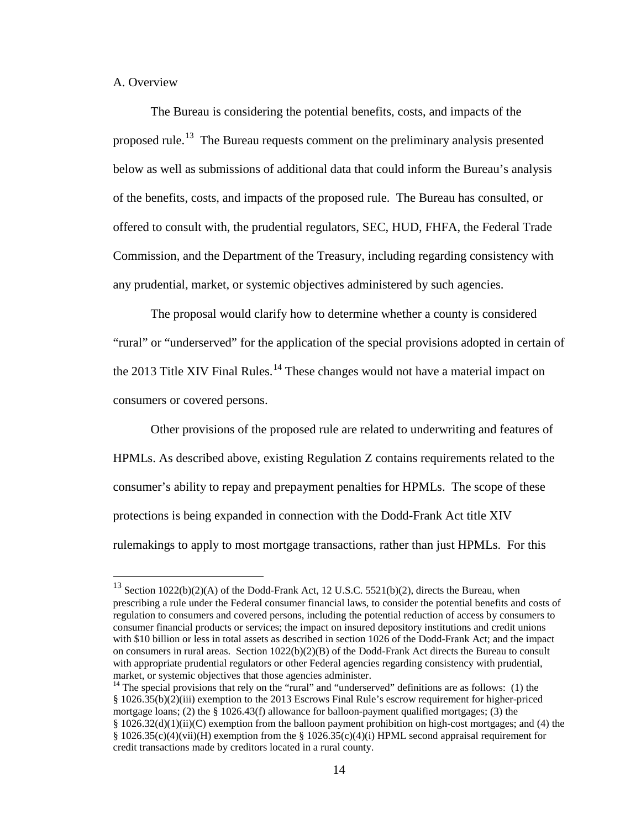A. Overview

The Bureau is considering the potential benefits, costs, and impacts of the proposed rule.<sup>[13](#page-12-0)</sup> The Bureau requests comment on the preliminary analysis presented below as well as submissions of additional data that could inform the Bureau's analysis of the benefits, costs, and impacts of the proposed rule. The Bureau has consulted, or offered to consult with, the prudential regulators, SEC, HUD, FHFA, the Federal Trade Commission, and the Department of the Treasury, including regarding consistency with any prudential, market, or systemic objectives administered by such agencies.

The proposal would clarify how to determine whether a county is considered "rural" or "underserved" for the application of the special provisions adopted in certain of the 2013 Title XIV Final Rules.<sup>[14](#page-13-0)</sup> These changes would not have a material impact on consumers or covered persons.

Other provisions of the proposed rule are related to underwriting and features of HPMLs. As described above, existing Regulation Z contains requirements related to the consumer's ability to repay and prepayment penalties for HPMLs. The scope of these protections is being expanded in connection with the Dodd-Frank Act title XIV rulemakings to apply to most mortgage transactions, rather than just HPMLs. For this

 $13$  Section 1022(b)(2)(A) of the Dodd-Frank Act, 12 U.S.C. 5521(b)(2), directs the Bureau, when prescribing a rule under the Federal consumer financial laws, to consider the potential benefits and costs of regulation to consumers and covered persons, including the potential reduction of access by consumers to consumer financial products or services; the impact on insured depository institutions and credit unions with \$10 billion or less in total assets as described in section 1026 of the Dodd-Frank Act; and the impact on consumers in rural areas. Section 1022(b)(2)(B) of the Dodd-Frank Act directs the Bureau to consult with appropriate prudential regulators or other Federal agencies regarding consistency with prudential, market, or systemic objectives that those agencies administer.<br><sup>14</sup> The special provisions that rely on the "rural" and "underserved" definitions are as follows: (1) the

<span id="page-13-1"></span><span id="page-13-0"></span><sup>§</sup> 1026.35(b)(2)(iii) exemption to the 2013 Escrows Final Rule's escrow requirement for higher-priced mortgage loans; (2) the  $\S$  1026.43(f) allowance for balloon-payment qualified mortgages; (3) the § 1026.32(d)(1)(ii)(C) exemption from the balloon payment prohibition on high-cost mortgages; and (4) the § 1026.35(c)(4)(vii)(H) exemption from the § 1026.35(c)(4)(i) HPML second appraisal requirement for credit transactions made by creditors located in a rural county.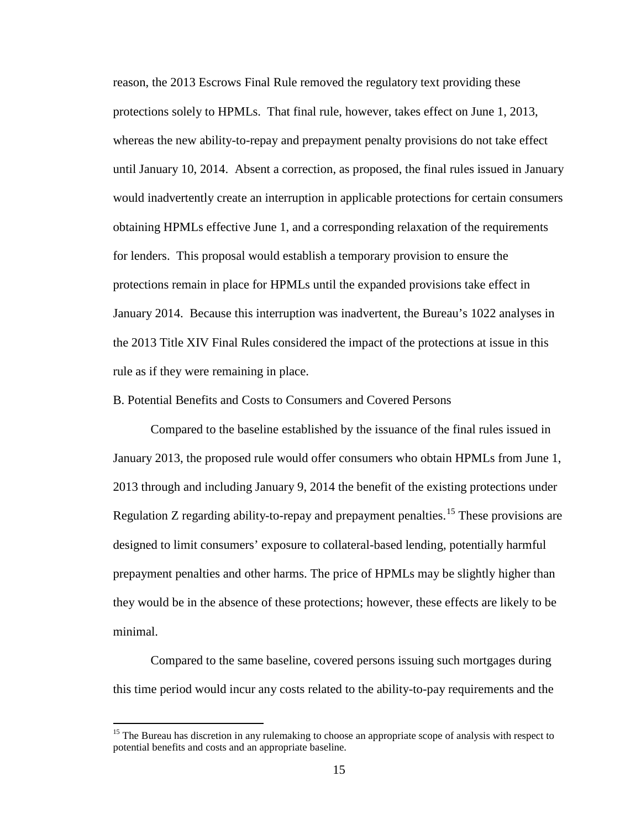reason, the 2013 Escrows Final Rule removed the regulatory text providing these protections solely to HPMLs. That final rule, however, takes effect on June 1, 2013, whereas the new ability-to-repay and prepayment penalty provisions do not take effect until January 10, 2014. Absent a correction, as proposed, the final rules issued in January would inadvertently create an interruption in applicable protections for certain consumers obtaining HPMLs effective June 1, and a corresponding relaxation of the requirements for lenders. This proposal would establish a temporary provision to ensure the protections remain in place for HPMLs until the expanded provisions take effect in January 2014. Because this interruption was inadvertent, the Bureau's 1022 analyses in the 2013 Title XIV Final Rules considered the impact of the protections at issue in this rule as if they were remaining in place.

#### B. Potential Benefits and Costs to Consumers and Covered Persons

Compared to the baseline established by the issuance of the final rules issued in January 2013, the proposed rule would offer consumers who obtain HPMLs from June 1, 2013 through and including January 9, 2014 the benefit of the existing protections under Regulation  $Z$  regarding ability-to-repay and prepayment penalties.<sup>[15](#page-13-1)</sup> These provisions are designed to limit consumers' exposure to collateral-based lending, potentially harmful prepayment penalties and other harms. The price of HPMLs may be slightly higher than they would be in the absence of these protections; however, these effects are likely to be minimal.

<span id="page-14-0"></span>Compared to the same baseline, covered persons issuing such mortgages during this time period would incur any costs related to the ability-to-pay requirements and the

<sup>&</sup>lt;sup>15</sup> The Bureau has discretion in any rulemaking to choose an appropriate scope of analysis with respect to potential benefits and costs and an appropriate baseline.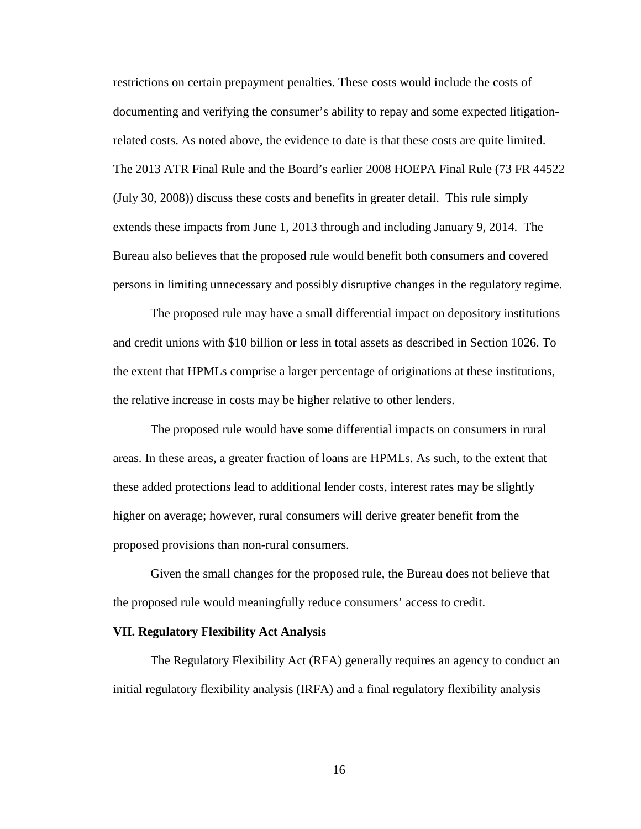restrictions on certain prepayment penalties. These costs would include the costs of documenting and verifying the consumer's ability to repay and some expected litigationrelated costs. As noted above, the evidence to date is that these costs are quite limited. The 2013 ATR Final Rule and the Board's earlier 2008 HOEPA Final Rule (73 FR 44522 (July 30, 2008)) discuss these costs and benefits in greater detail. This rule simply extends these impacts from June 1, 2013 through and including January 9, 2014. The Bureau also believes that the proposed rule would benefit both consumers and covered persons in limiting unnecessary and possibly disruptive changes in the regulatory regime.

The proposed rule may have a small differential impact on depository institutions and credit unions with \$10 billion or less in total assets as described in Section 1026. To the extent that HPMLs comprise a larger percentage of originations at these institutions, the relative increase in costs may be higher relative to other lenders.

The proposed rule would have some differential impacts on consumers in rural areas. In these areas, a greater fraction of loans are HPMLs. As such, to the extent that these added protections lead to additional lender costs, interest rates may be slightly higher on average; however, rural consumers will derive greater benefit from the proposed provisions than non-rural consumers.

Given the small changes for the proposed rule, the Bureau does not believe that the proposed rule would meaningfully reduce consumers' access to credit.

### **VII. Regulatory Flexibility Act Analysis**

The Regulatory Flexibility Act (RFA) generally requires an agency to conduct an initial regulatory flexibility analysis (IRFA) and a final regulatory flexibility analysis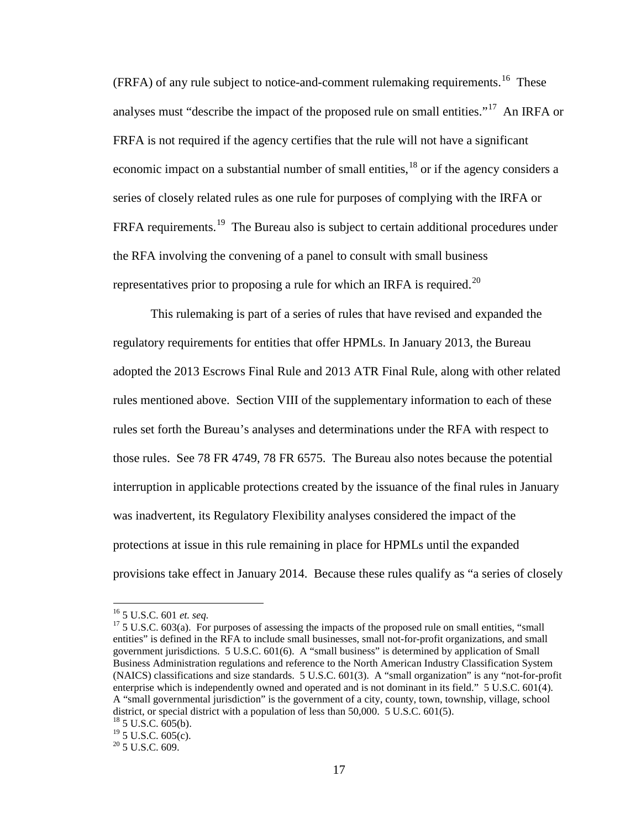$(FRFA)$  of any rule subject to notice-and-comment rulemaking requirements.<sup>16</sup> These analyses must "describe the impact of the proposed rule on small entities."<sup>17</sup> An IRFA or FRFA is not required if the agency certifies that the rule will not have a significant economic impact on a substantial number of small entities,  $^{18}$  $^{18}$  $^{18}$  or if the agency considers a series of closely related rules as one rule for purposes of complying with the IRFA or FRFA requirements.<sup>[19](#page-16-2)</sup> The Bureau also is subject to certain additional procedures under the RFA involving the convening of a panel to consult with small business representatives prior to proposing a rule for which an IRFA is required.<sup>[20](#page-16-3)</sup>

This rulemaking is part of a series of rules that have revised and expanded the regulatory requirements for entities that offer HPMLs. In January 2013, the Bureau adopted the 2013 Escrows Final Rule and 2013 ATR Final Rule, along with other related rules mentioned above. Section VIII of the supplementary information to each of these rules set forth the Bureau's analyses and determinations under the RFA with respect to those rules. See 78 FR 4749, 78 FR 6575. The Bureau also notes because the potential interruption in applicable protections created by the issuance of the final rules in January was inadvertent, its Regulatory Flexibility analyses considered the impact of the protections at issue in this rule remaining in place for HPMLs until the expanded provisions take effect in January 2014. Because these rules qualify as "a series of closely

<span id="page-16-0"></span><sup>&</sup>lt;sup>16</sup> 5 U.S.C. 601 *et. seq.*<br><sup>17</sup> 5 U.S.C. 603(a). For purposes of assessing the impacts of the proposed rule on small entities, "small entities" is defined in the RFA to include small businesses, small not-for-profit organizations, and small government jurisdictions. 5 U.S.C. 601(6). A "small business" is determined by application of Small Business Administration regulations and reference to the North American Industry Classification System (NAICS) classifications and size standards. 5 U.S.C. 601(3). A "small organization" is any "not-for-profit enterprise which is independently owned and operated and is not dominant in its field." 5 U.S.C. 601(4). A "small governmental jurisdiction" is the government of a city, county, town, township, village, school district, or special district with a population of less than 50,000. 5 U.S.C. 601(5).<br><sup>18</sup> 5 U.S.C. 605(b).<br><sup>19</sup> 5 U.S.C. 605(c).<br><sup>20</sup> 5 U.S.C. 609.

<span id="page-16-4"></span><span id="page-16-2"></span><span id="page-16-1"></span>

<span id="page-16-3"></span>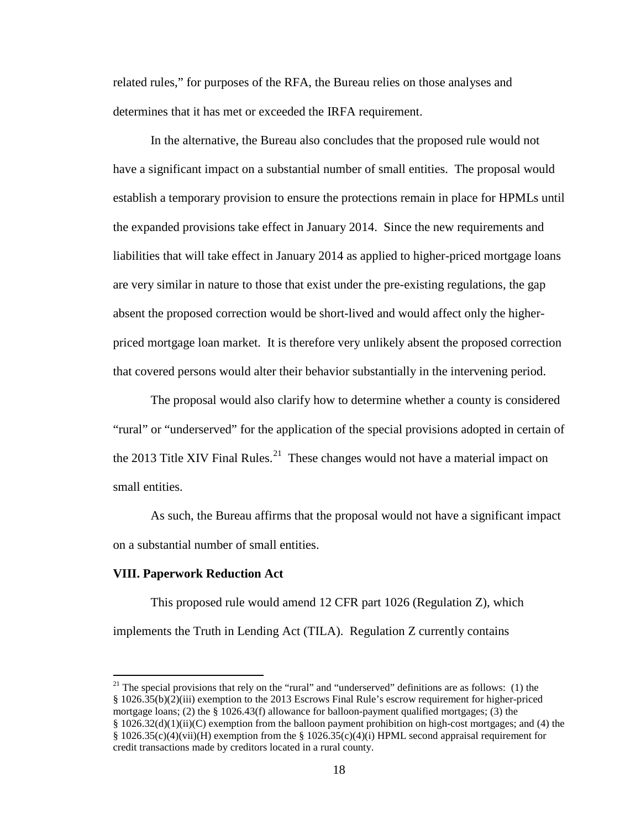related rules," for purposes of the RFA, the Bureau relies on those analyses and determines that it has met or exceeded the IRFA requirement.

In the alternative, the Bureau also concludes that the proposed rule would not have a significant impact on a substantial number of small entities. The proposal would establish a temporary provision to ensure the protections remain in place for HPMLs until the expanded provisions take effect in January 2014. Since the new requirements and liabilities that will take effect in January 2014 as applied to higher-priced mortgage loans are very similar in nature to those that exist under the pre-existing regulations, the gap absent the proposed correction would be short-lived and would affect only the higherpriced mortgage loan market. It is therefore very unlikely absent the proposed correction that covered persons would alter their behavior substantially in the intervening period.

The proposal would also clarify how to determine whether a county is considered "rural" or "underserved" for the application of the special provisions adopted in certain of the 2013 Title XIV Final Rules. $^{21}$  $^{21}$  $^{21}$  These changes would not have a material impact on small entities.

As such, the Bureau affirms that the proposal would not have a significant impact on a substantial number of small entities.

#### **VIII. Paperwork Reduction Act**

This proposed rule would amend 12 CFR part 1026 (Regulation Z), which implements the Truth in Lending Act (TILA). Regulation Z currently contains

 $21$  The special provisions that rely on the "rural" and "underserved" definitions are as follows: (1) the § 1026.35(b)(2)(iii) exemption to the 2013 Escrows Final Rule's escrow requirement for higher-priced mortgage loans; (2) the  $\S$  1026.43(f) allowance for balloon-payment qualified mortgages; (3) the § 1026.32(d)(1)(ii)(C) exemption from the balloon payment prohibition on high-cost mortgages; and (4) the § 1026.35(c)(4)(vii)(H) exemption from the § 1026.35(c)(4)(i) HPML second appraisal requirement for credit transactions made by creditors located in a rural county.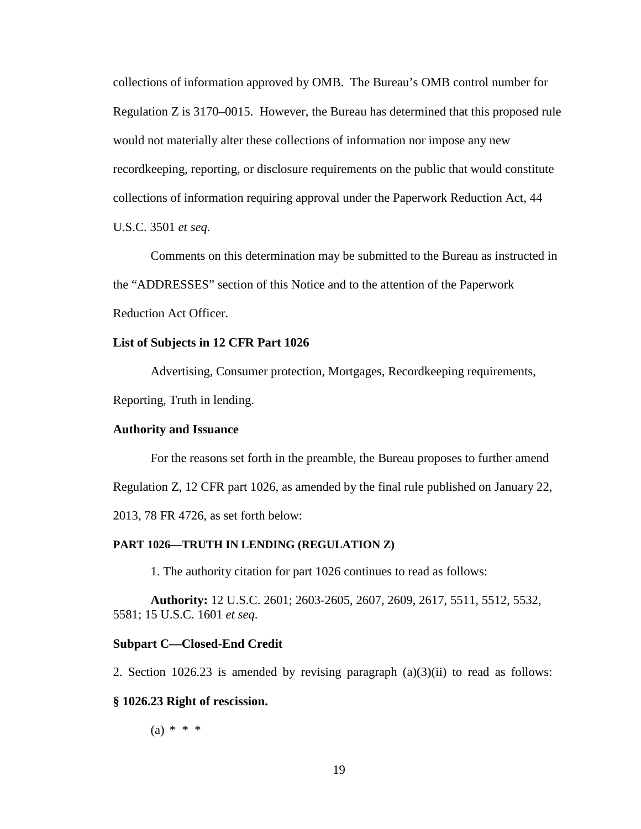collections of information approved by OMB. The Bureau's OMB control number for Regulation Z is 3170–0015. However, the Bureau has determined that this proposed rule would not materially alter these collections of information nor impose any new recordkeeping, reporting, or disclosure requirements on the public that would constitute collections of information requiring approval under the Paperwork Reduction Act, 44 U.S.C. 3501 *et seq.*

Comments on this determination may be submitted to the Bureau as instructed in the "ADDRESSES" section of this Notice and to the attention of the Paperwork Reduction Act Officer.

## **List of Subjects in 12 CFR Part 1026**

Advertising, Consumer protection, Mortgages, Recordkeeping requirements,

Reporting, Truth in lending.

## **Authority and Issuance**

For the reasons set forth in the preamble, the Bureau proposes to further amend Regulation Z, 12 CFR part 1026, as amended by the final rule published on January 22, 2013, 78 FR 4726, as set forth below:

#### **PART 1026—TRUTH IN LENDING (REGULATION Z)**

1. The authority citation for part 1026 continues to read as follows:

**Authority:** 12 U.S.C. 2601; 2603-2605, 2607, 2609, 2617, 5511, 5512, 5532, 5581; 15 U.S.C. 1601 *et seq*.

#### **Subpart C—Closed-End Credit**

2. Section 1026.23 is amended by revising paragraph  $(a)(3)(ii)$  to read as follows:

## **§ 1026.23 Right of rescission.**

 $(a) * * * *$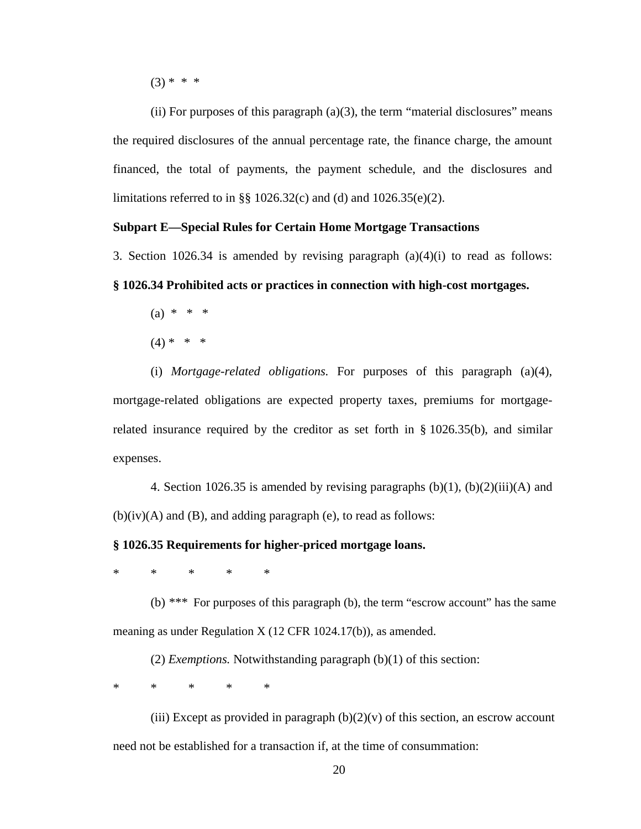$(3) * * * *$ 

(ii) For purposes of this paragraph  $(a)(3)$ , the term "material disclosures" means the required disclosures of the annual percentage rate, the finance charge, the amount financed, the total of payments, the payment schedule, and the disclosures and limitations referred to in §§ 1026.32(c) and (d) and  $1026.35(e)(2)$ .

## **Subpart E—Special Rules for Certain Home Mortgage Transactions**

3. Section 1026.34 is amended by revising paragraph (a)(4)(i) to read as follows:

## **§ 1026.34 Prohibited acts or practices in connection with high-cost mortgages.**

- $(a) * * * *$
- $(4) * * * *$

(i) *Mortgage-related obligations.* For purposes of this paragraph (a)(4), mortgage-related obligations are expected property taxes, premiums for mortgagerelated insurance required by the creditor as set forth in  $\S$  1026.35(b), and similar expenses.

4. Section 1026.35 is amended by revising paragraphs  $(b)(1)$ ,  $(b)(2)(iii)(A)$  and  $(b)(iv)(A)$  and  $(B)$ , and adding paragraph  $(e)$ , to read as follows:

## **§ 1026.35 Requirements for higher-priced mortgage loans.**

\* \* \* \* \*

(b) *\*\*\** For purposes of this paragraph (b), the term "escrow account" has the same meaning as under Regulation X (12 CFR 1024.17(b)), as amended.

(2) *Exemptions.* Notwithstanding paragraph (b)(1) of this section:

\* \* \* \* \*

(iii) Except as provided in paragraph  $(b)(2)(v)$  of this section, an escrow account need not be established for a transaction if, at the time of consummation: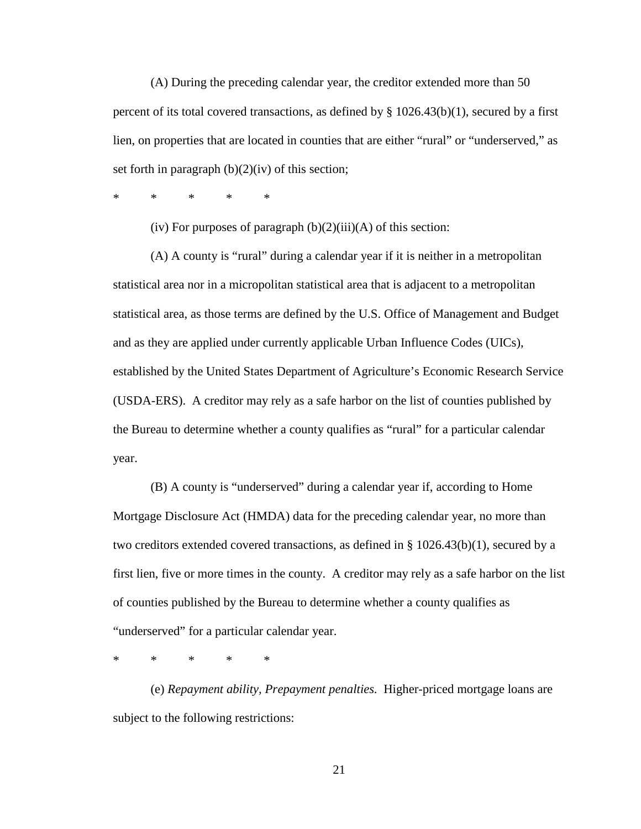(A) During the preceding calendar year, the creditor extended more than 50 percent of its total covered transactions, as defined by § 1026.43(b)(1), secured by a first lien, on properties that are located in counties that are either "rural" or "underserved," as set forth in paragraph  $(b)(2)(iv)$  of this section;

\* \* \* \* \*

(iv) For purposes of paragraph  $(b)(2)(iii)(A)$  of this section:

(A) A county is "rural" during a calendar year if it is neither in a metropolitan statistical area nor in a micropolitan statistical area that is adjacent to a metropolitan statistical area, as those terms are defined by the U.S. Office of Management and Budget and as they are applied under currently applicable Urban Influence Codes (UICs), established by the United States Department of Agriculture's Economic Research Service (USDA-ERS). A creditor may rely as a safe harbor on the list of counties published by the Bureau to determine whether a county qualifies as "rural" for a particular calendar year.

(B) A county is "underserved" during a calendar year if, according to Home Mortgage Disclosure Act (HMDA) data for the preceding calendar year, no more than two creditors extended covered transactions, as defined in  $\S 1026.43(b)(1)$ , secured by a first lien, five or more times in the county. A creditor may rely as a safe harbor on the list of counties published by the Bureau to determine whether a county qualifies as "underserved" for a particular calendar year.

\* \* \* \* \*

(e) *Repayment ability, Prepayment penalties.* Higher-priced mortgage loans are subject to the following restrictions: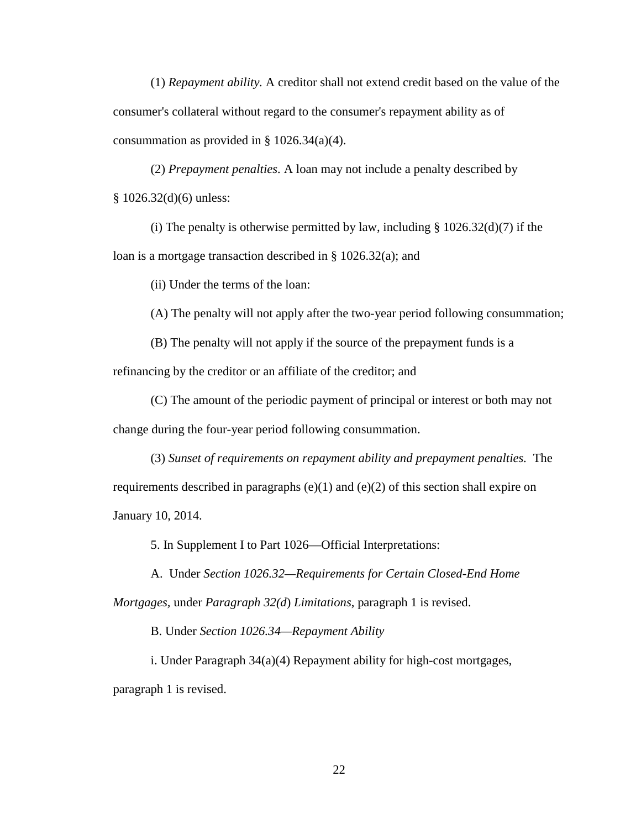(1) *Repayment ability.* A creditor shall not extend credit based on the value of the consumer's collateral without regard to the consumer's repayment ability as of consummation as provided in § 1026.34(a)(4).

(2) *Prepayment penalties.* A loan may not include a penalty described by § 1026.32(d)(6) unless:

(i) The penalty is otherwise permitted by law, including  $\S$  1026.32(d)(7) if the loan is a mortgage transaction described in § 1026.32(a); and

(ii) Under the terms of the loan:

(A) The penalty will not apply after the two-year period following consummation;

(B) The penalty will not apply if the source of the prepayment funds is a

refinancing by the creditor or an affiliate of the creditor; and

(C) The amount of the periodic payment of principal or interest or both may not change during the four-year period following consummation.

(3) *Sunset of requirements on repayment ability and prepayment penalties.* The requirements described in paragraphs  $(e)(1)$  and  $(e)(2)$  of this section shall expire on January 10, 2014.

5. In Supplement I to Part 1026—Official Interpretations:

A. Under *Section 1026.32—Requirements for Certain Closed-End Home* 

*Mortgages,* under *Paragraph 32(d*) *Limitations*, paragraph 1 is revised.

B. Under *Section 1026.34—Repayment Ability*

i. Under Paragraph 34(a)(4) Repayment ability for high-cost mortgages, paragraph 1 is revised.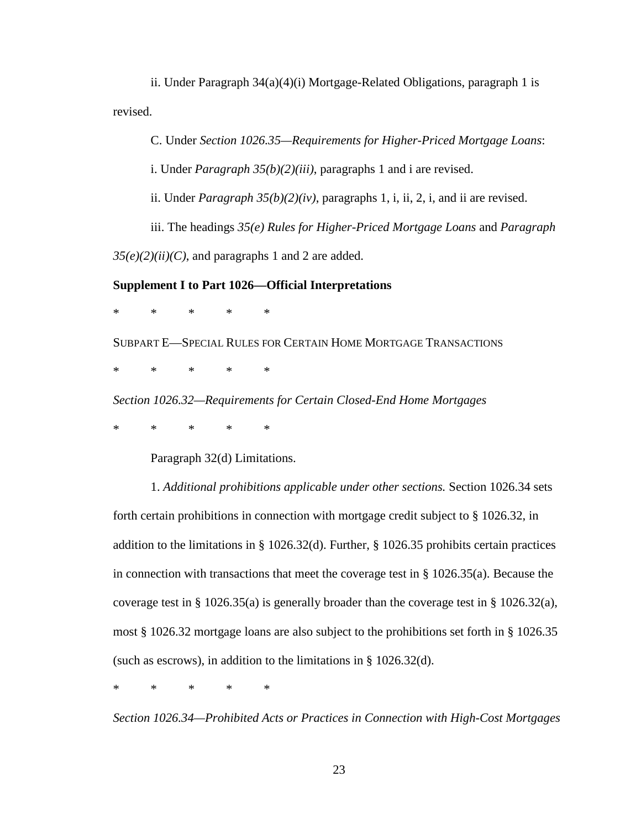ii. Under Paragraph 34(a)(4)(i) Mortgage-Related Obligations, paragraph 1 is revised.

C. Under *Section 1026.35—Requirements for Higher-Priced Mortgage Loans*:

i. Under *Paragraph 35(b)(2)(iii)*, paragraphs 1 and i are revised.

ii. Under *Paragraph 35(b)(2)(iv)*, paragraphs 1, i, ii, 2, i, and ii are revised.

iii. The headings *35(e) Rules for Higher-Priced Mortgage Loans* and *Paragraph* 

 $35(e)(2)(ii)(C)$ , and paragraphs 1 and 2 are added.

#### **Supplement I to Part 1026—Official Interpretations**

\* \* \* \* \*

SUBPART E—SPECIAL RULES FOR CERTAIN HOME MORTGAGE TRANSACTIONS

\* \* \* \* \*

*Section 1026.32—Requirements for Certain Closed-End Home Mortgages*

\* \* \* \* \*

Paragraph 32(d) Limitations.

1. *Additional prohibitions applicable under other sections.* Section 1026.34 sets forth certain prohibitions in connection with mortgage credit subject to § 1026.32, in addition to the limitations in § 1026.32(d). Further, § 1026.35 prohibits certain practices in connection with transactions that meet the coverage test in § 1026.35(a). Because the coverage test in § 1026.35(a) is generally broader than the coverage test in § 1026.32(a), most § 1026.32 mortgage loans are also subject to the prohibitions set forth in § 1026.35 (such as escrows), in addition to the limitations in § 1026.32(d).

\* \* \* \* \*

*Section 1026.34—Prohibited Acts or Practices in Connection with High-Cost Mortgages*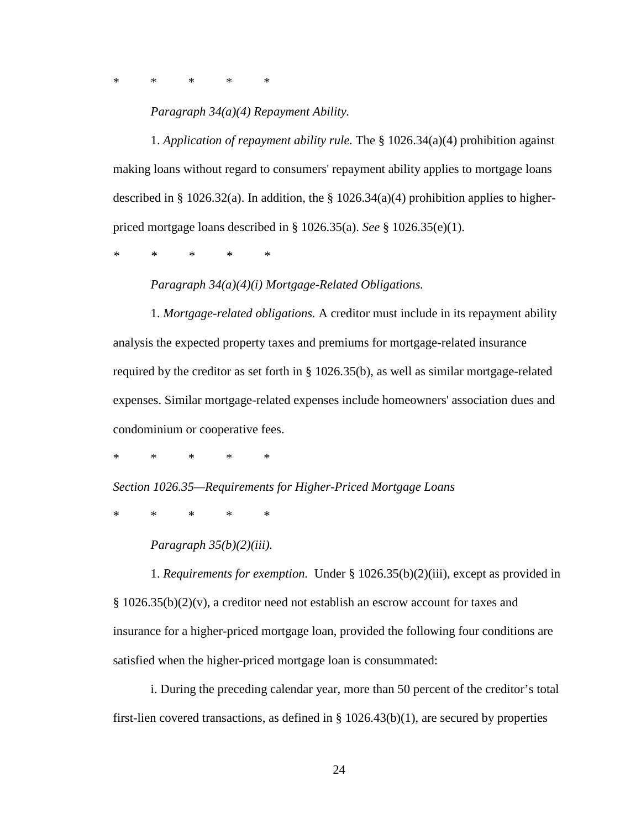\* \* \* \* \*

*Paragraph 34(a)(4) Repayment Ability.*

1. *Application of repayment ability rule.* The § 1026.34(a)(4) prohibition against making loans without regard to consumers' repayment ability applies to mortgage loans described in § 1026.32(a). In addition, the § 1026.34(a)(4) prohibition applies to higherpriced mortgage loans described in § 1026.35(a). *See* § 1026.35(e)(1).

*\* \* \* \* \**

*Paragraph 34(a)(4)(i) Mortgage-Related Obligations.*

1. *Mortgage-related obligations.* A creditor must include in its repayment ability analysis the expected property taxes and premiums for mortgage-related insurance required by the creditor as set forth in § 1026.35(b), as well as similar mortgage-related expenses. Similar mortgage-related expenses include homeowners' association dues and condominium or cooperative fees.

\* \* \* \* \*

*Section 1026.35—Requirements for Higher-Priced Mortgage Loans*

\* \* \* \* \*

*Paragraph 35(b)(2)(iii).*

1. *Requirements for exemption.* Under § 1026.35(b)(2)(iii), except as provided in § 1026.35(b)(2)(v), a creditor need not establish an escrow account for taxes and insurance for a higher-priced mortgage loan, provided the following four conditions are satisfied when the higher-priced mortgage loan is consummated:

i. During the preceding calendar year, more than 50 percent of the creditor's total first-lien covered transactions, as defined in § 1026.43(b)(1), are secured by properties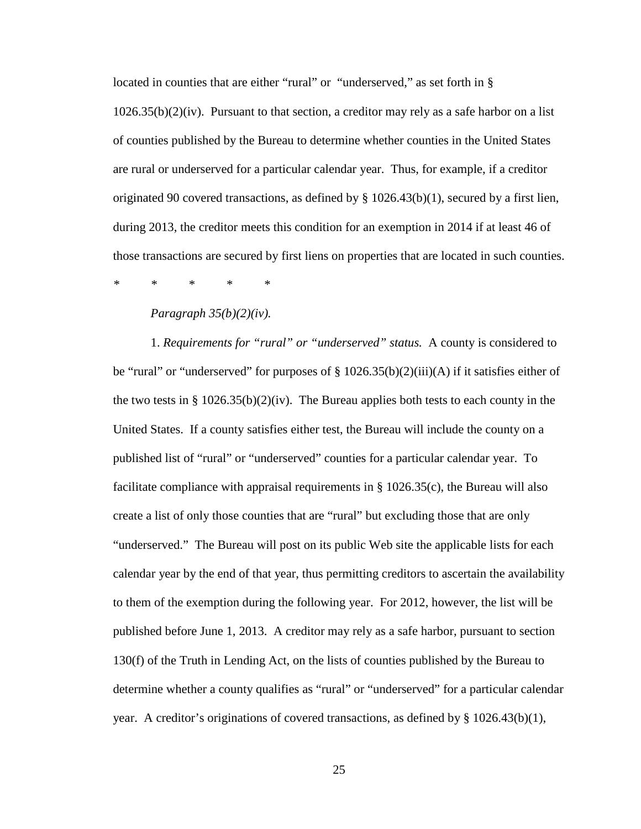located in counties that are either "rural" or "underserved," as set forth in § 1026.35(b)(2)(iv). Pursuant to that section, a creditor may rely as a safe harbor on a list of counties published by the Bureau to determine whether counties in the United States are rural or underserved for a particular calendar year. Thus, for example, if a creditor originated 90 covered transactions, as defined by  $\S$  1026.43(b)(1), secured by a first lien, during 2013, the creditor meets this condition for an exemption in 2014 if at least 46 of those transactions are secured by first liens on properties that are located in such counties.

*\* \* \* \* \**

## *Paragraph 35(b)(2)(iv).*

1. *Requirements for "rural" or "underserved" status.* A county is considered to be "rural" or "underserved" for purposes of  $\S 1026.35(b)(2)(iii)(A)$  if it satisfies either of the two tests in § 1026.35(b)(2)(iv). The Bureau applies both tests to each county in the United States. If a county satisfies either test, the Bureau will include the county on a published list of "rural" or "underserved" counties for a particular calendar year. To facilitate compliance with appraisal requirements in  $\S$  1026.35(c), the Bureau will also create a list of only those counties that are "rural" but excluding those that are only "underserved." The Bureau will post on its public Web site the applicable lists for each calendar year by the end of that year, thus permitting creditors to ascertain the availability to them of the exemption during the following year. For 2012, however, the list will be published before June 1, 2013. A creditor may rely as a safe harbor, pursuant to section 130(f) of the Truth in Lending Act, on the lists of counties published by the Bureau to determine whether a county qualifies as "rural" or "underserved" for a particular calendar year. A creditor's originations of covered transactions, as defined by  $\S 1026.43(b)(1)$ ,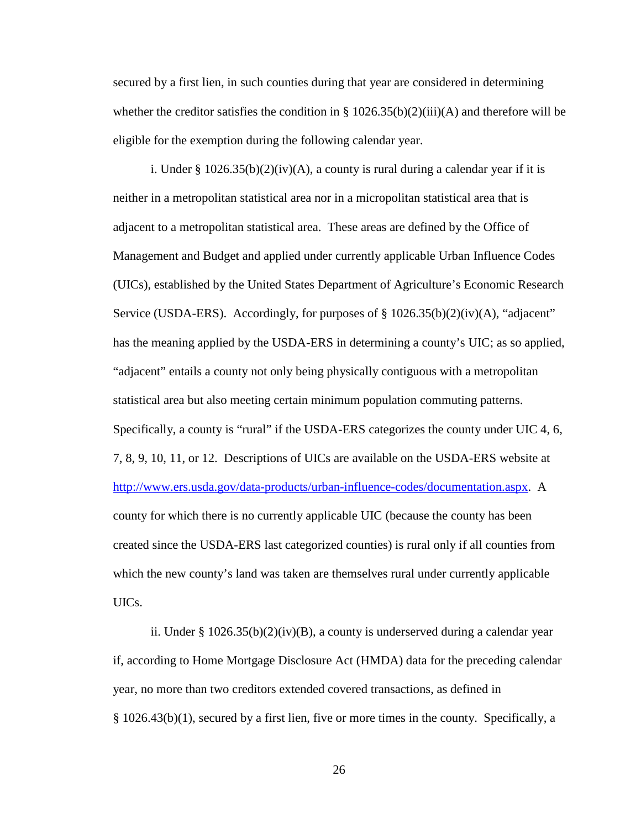secured by a first lien, in such counties during that year are considered in determining whether the creditor satisfies the condition in  $\S 1026.35(b)(2)(iii)(A)$  and therefore will be eligible for the exemption during the following calendar year.

i. Under §  $1026.35(b)(2)(iv)$ (A), a county is rural during a calendar year if it is neither in a metropolitan statistical area nor in a micropolitan statistical area that is adjacent to a metropolitan statistical area. These areas are defined by the Office of Management and Budget and applied under currently applicable Urban Influence Codes (UICs), established by the United States Department of Agriculture's Economic Research Service (USDA-ERS). Accordingly, for purposes of  $\S 1026.35(b)(2)(iv)(A)$ , "adjacent" has the meaning applied by the USDA-ERS in determining a county's UIC; as so applied, "adjacent" entails a county not only being physically contiguous with a metropolitan statistical area but also meeting certain minimum population commuting patterns. Specifically, a county is "rural" if the USDA-ERS categorizes the county under UIC 4, 6, 7, 8, 9, 10, 11, or 12. Descriptions of UICs are available on the USDA-ERS website at [http://www.ers.usda.gov/data-products/urban-influence-codes/documentation.aspx.](http://www.ers.usda.gov/data-products/urban-influence-codes/documentation.aspx) A county for which there is no currently applicable UIC (because the county has been created since the USDA-ERS last categorized counties) is rural only if all counties from which the new county's land was taken are themselves rural under currently applicable UICs.

ii. Under § 1026.35(b)(2)(iv)(B), a county is underserved during a calendar year if, according to Home Mortgage Disclosure Act (HMDA) data for the preceding calendar year, no more than two creditors extended covered transactions, as defined in § 1026.43(b)(1), secured by a first lien, five or more times in the county. Specifically, a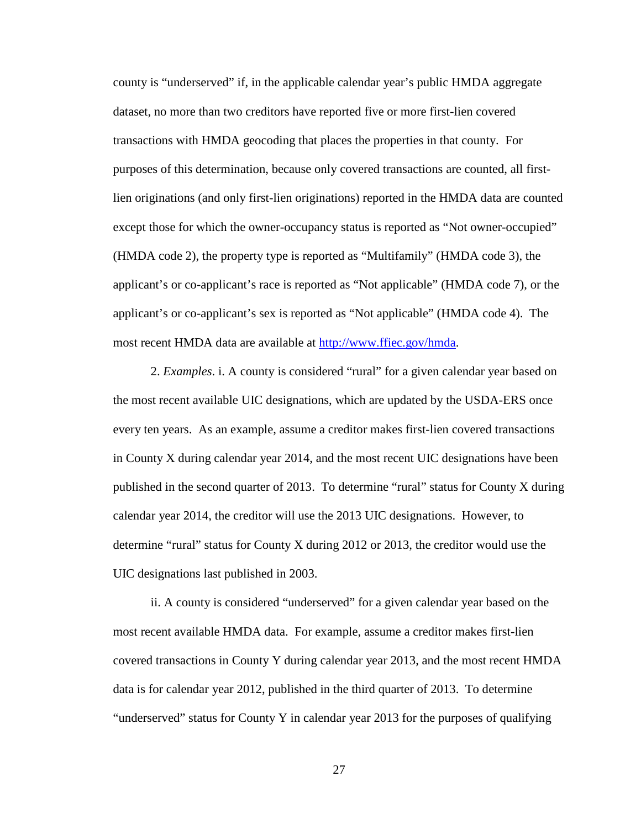county is "underserved" if, in the applicable calendar year's public HMDA aggregate dataset, no more than two creditors have reported five or more first-lien covered transactions with HMDA geocoding that places the properties in that county. For purposes of this determination, because only covered transactions are counted, all firstlien originations (and only first-lien originations) reported in the HMDA data are counted except those for which the owner-occupancy status is reported as "Not owner-occupied" (HMDA code 2), the property type is reported as "Multifamily" (HMDA code 3), the applicant's or co-applicant's race is reported as "Not applicable" (HMDA code 7), or the applicant's or co-applicant's sex is reported as "Not applicable" (HMDA code 4). The most recent HMDA data are available at [http://www.ffiec.gov/hmda.](http://www.ffiec.gov/hmda)

2. *Examples*. i. A county is considered "rural" for a given calendar year based on the most recent available UIC designations, which are updated by the USDA-ERS once every ten years. As an example, assume a creditor makes first-lien covered transactions in County X during calendar year 2014, and the most recent UIC designations have been published in the second quarter of 2013. To determine "rural" status for County X during calendar year 2014, the creditor will use the 2013 UIC designations. However, to determine "rural" status for County X during 2012 or 2013, the creditor would use the UIC designations last published in 2003.

ii. A county is considered "underserved" for a given calendar year based on the most recent available HMDA data. For example, assume a creditor makes first-lien covered transactions in County Y during calendar year 2013, and the most recent HMDA data is for calendar year 2012, published in the third quarter of 2013. To determine "underserved" status for County Y in calendar year 2013 for the purposes of qualifying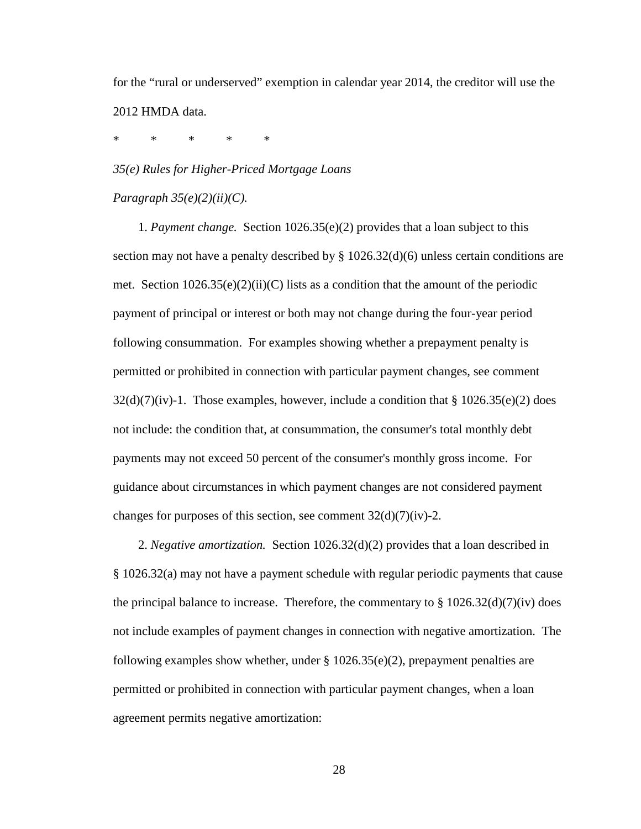for the "rural or underserved" exemption in calendar year 2014, the creditor will use the 2012 HMDA data.

\* \* \* \* \*

## *35(e) Rules for Higher-Priced Mortgage Loans*

## *Paragraph 35(e)(2)(ii)(C).*

1. *Payment change.* Section 1026.35(e)(2) provides that a loan subject to this section may not have a penalty described by § 1026.32(d)(6) unless certain conditions are met. Section  $1026.35(e)(2)(ii)(C)$  lists as a condition that the amount of the periodic payment of principal or interest or both may not change during the four-year period following consummation. For examples showing whether a prepayment penalty is permitted or prohibited in connection with particular payment changes, see comment  $32(d)(7)(iv)-1$ . Those examples, however, include a condition that § 1026.35(e)(2) does not include: the condition that, at consummation, the consumer's total monthly debt payments may not exceed 50 percent of the consumer's monthly gross income. For guidance about circumstances in which payment changes are not considered payment changes for purposes of this section, see comment  $32(d)(7)(iv)$ -2.

2. *Negative amortization.* Section 1026.32(d)(2) provides that a loan described in § 1026.32(a) may not have a payment schedule with regular periodic payments that cause the principal balance to increase. Therefore, the commentary to  $\S 1026.32(d)(7)(iv)$  does not include examples of payment changes in connection with negative amortization. The following examples show whether, under  $\S 1026.35(e)(2)$ , prepayment penalties are permitted or prohibited in connection with particular payment changes, when a loan agreement permits negative amortization: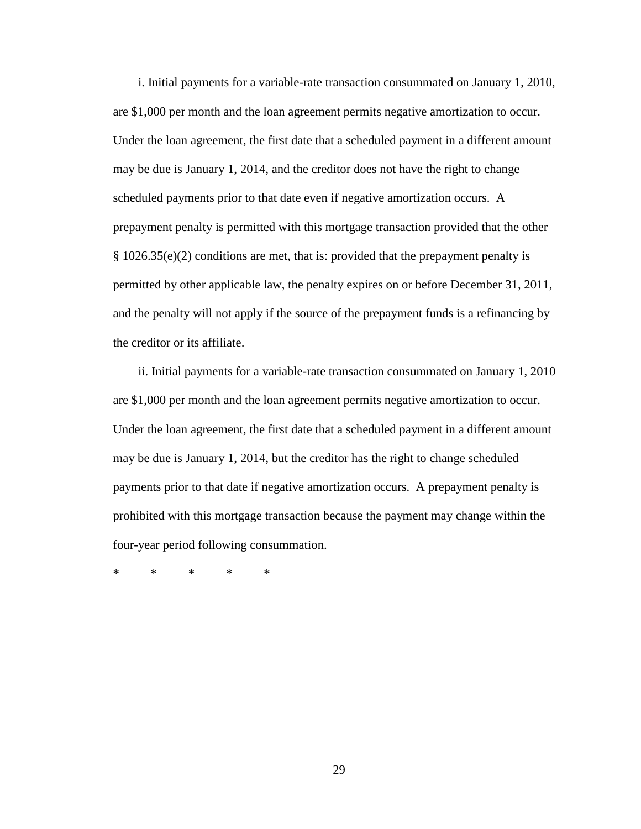i. Initial payments for a variable-rate transaction consummated on January 1, 2010, are \$1,000 per month and the loan agreement permits negative amortization to occur. Under the loan agreement, the first date that a scheduled payment in a different amount may be due is January 1, 2014, and the creditor does not have the right to change scheduled payments prior to that date even if negative amortization occurs. A prepayment penalty is permitted with this mortgage transaction provided that the other § 1026.35(e)(2) conditions are met, that is: provided that the prepayment penalty is permitted by other applicable law, the penalty expires on or before December 31, 2011, and the penalty will not apply if the source of the prepayment funds is a refinancing by the creditor or its affiliate.

ii. Initial payments for a variable-rate transaction consummated on January 1, 2010 are \$1,000 per month and the loan agreement permits negative amortization to occur. Under the loan agreement, the first date that a scheduled payment in a different amount may be due is January 1, 2014, but the creditor has the right to change scheduled payments prior to that date if negative amortization occurs. A prepayment penalty is prohibited with this mortgage transaction because the payment may change within the four-year period following consummation.

\* \* \* \* \*